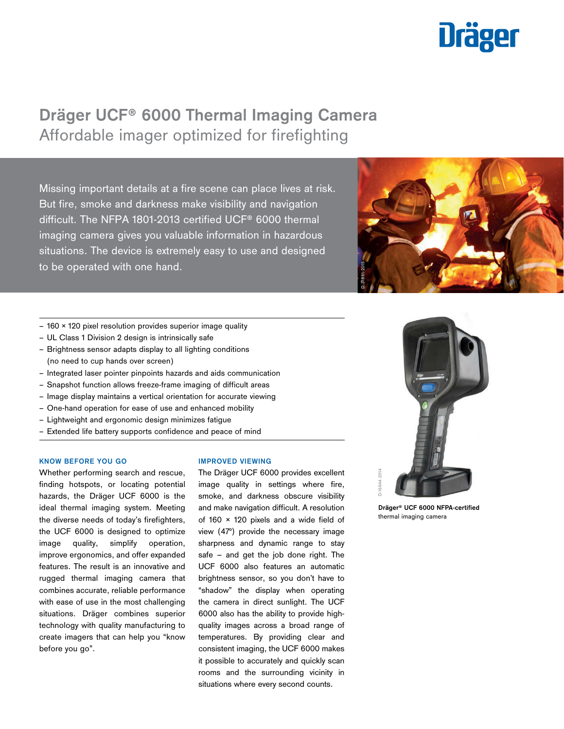# **Dräger**

# **Dräger UCF® 6000 Thermal Imaging Camera** Affordable imager optimized for firefighting

Missing important details at a fire scene can place lives at risk. But fire, smoke and darkness make visibility and navigation difficult. The NFPA 1801-2013 certified UCF® 6000 thermal imaging camera gives you valuable information in hazardous situations. The device is extremely easy to use and designed to be operated with one hand.



- $-160 \times 120$  pixel resolution provides superior image quality
- UL Class 1 Division 2 design is intrinsically safe
- Brightness sensor adapts display to all lighting conditions (no need to cup hands over screen)
- Integrated laser pointer pinpoints hazards and aids communication
- Snapshot function allows freeze-frame imaging of difficult areas
- Image display maintains a vertical orientation for accurate viewing
- One-hand operation for ease of use and enhanced mobility
- Lightweight and ergonomic design minimizes fatigue
- Extended life battery supports confidence and peace of mind

# **KNOW BEFORE YOU GO**

Whether performing search and rescue, finding hotspots, or locating potential hazards, the Dräger UCF 6000 is the ideal thermal imaging system. Meeting the diverse needs of today's firefighters, the UCF 6000 is designed to optimize image quality, simplify operation, improve ergonomics, and offer expanded features. The result is an innovative and rugged thermal imaging camera that combines accurate, reliable performance with ease of use in the most challenging situations. Dräger combines superior technology with quality manufacturing to create imagers that can help you "know before you go".

#### **IMPROVED VIEWING**

The Dräger UCF 6000 provides excellent image quality in settings where fire, smoke, and darkness obscure visibility and make navigation difficult. A resolution of 160 × 120 pixels and a wide field of view (47°) provide the necessary image sharpness and dynamic range to stay safe – and get the job done right. The UCF 6000 also features an automatic brightness sensor, so you don't have to "shadow" the display when operating the camera in direct sunlight. The UCF 6000 also has the ability to provide highquality images across a broad range of temperatures. By providing clear and consistent imaging, the UCF 6000 makes it possible to accurately and quickly scan rooms and the surrounding vicinity in situations where every second counts.



**Dräger® UCF 6000 NFPA-certified**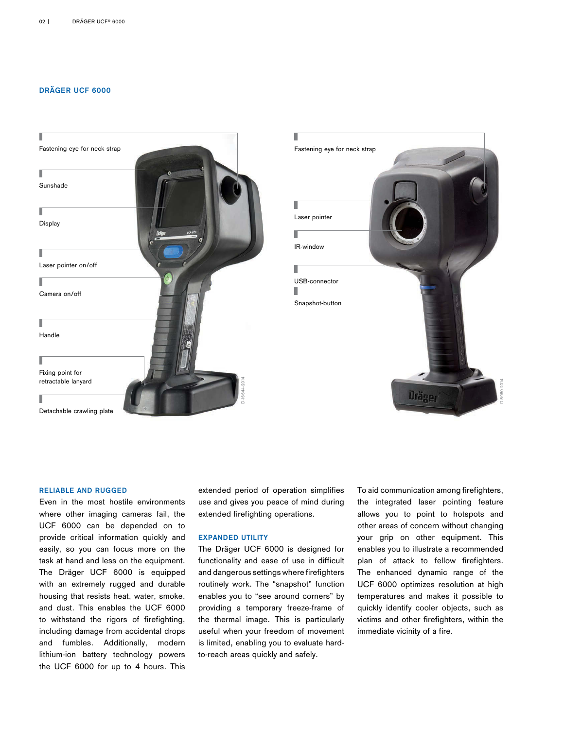# **DRÄGER UCF 6000**





## **RELIABLE AND RUGGED**

Even in the most hostile environments where other imaging cameras fail, the UCF 6000 can be depended on to provide critical information quickly and easily, so you can focus more on the task at hand and less on the equipment. The Dräger UCF 6000 is equipped with an extremely rugged and durable housing that resists heat, water, smoke, and dust. This enables the UCF 6000 to withstand the rigors of firefighting, including damage from accidental drops and fumbles. Additionally, modern lithium-ion battery technology powers the UCF 6000 for up to 4 hours. This

extended period of operation simplifies use and gives you peace of mind during extended firefighting operations.

# **EXPANDED UTILITY**

The Dräger UCF 6000 is designed for functionality and ease of use in difficult and dangerous settings where firefighters routinely work. The "snapshot" function enables you to "see around corners" by providing a temporary freeze-frame of the thermal image. This is particularly useful when your freedom of movement is limited, enabling you to evaluate hardto-reach areas quickly and safely.

To aid communication among firefighters, the integrated laser pointing feature allows you to point to hotspots and other areas of concern without changing your grip on other equipment. This enables you to illustrate a recommended plan of attack to fellow firefighters. The enhanced dynamic range of the UCF 6000 optimizes resolution at high temperatures and makes it possible to quickly identify cooler objects, such as victims and other firefighters, within the immediate vicinity of a fire.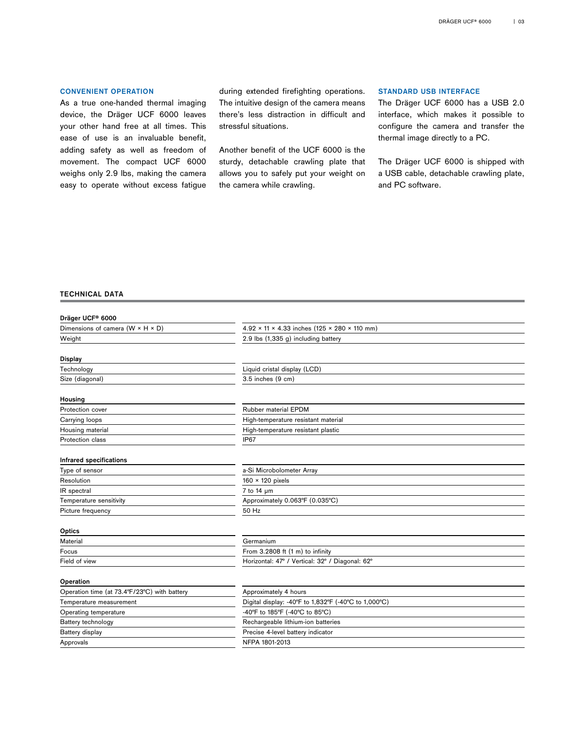# **CONVENIENT OPERATION**

As a true one-handed thermal imaging device, the Dräger UCF 6000 leaves your other hand free at all times. This ease of use is an invaluable benefit, adding safety as well as freedom of movement. The compact UCF 6000 weighs only 2.9 lbs, making the camera easy to operate without excess fatigue

during extended firefighting operations. The intuitive design of the camera means there's less distraction in difficult and stressful situations.

Another benefit of the UCF 6000 is the sturdy, detachable crawling plate that allows you to safely put your weight on the camera while crawling.

# **STANDARD USB INTERFACE**

The Dräger UCF 6000 has a USB 2.0 interface, which makes it possible to configure the camera and transfer the thermal image directly to a PC.

The Dräger UCF 6000 is shipped with a USB cable, detachable crawling plate, and PC software.

# TECHNICAL DATA

| Dräger UCF® 6000                               |                                                          |  |
|------------------------------------------------|----------------------------------------------------------|--|
| Dimensions of camera ( $W \times H \times D$ ) | $4.92 \times 11 \times 4.33$ inches (125 × 280 × 110 mm) |  |
| Weight                                         | 2.9 lbs (1,335 g) including battery                      |  |
|                                                |                                                          |  |
| <b>Display</b>                                 |                                                          |  |
| Technology                                     | Liquid cristal display (LCD)                             |  |
| Size (diagonal)                                | 3.5 inches (9 cm)                                        |  |
| Housing                                        |                                                          |  |
| <b>Protection cover</b>                        | Rubber material EPDM                                     |  |
| Carrying loops                                 | High-temperature resistant material                      |  |
| Housing material                               | High-temperature resistant plastic                       |  |
| Protection class                               | IP67                                                     |  |
|                                                |                                                          |  |
| Infrared specifications                        |                                                          |  |
| Type of sensor                                 | a-Si Microbolometer Array                                |  |
| Resolution                                     | $160 \times 120$ pixels                                  |  |
| IR spectral                                    | 7 to 14 µm                                               |  |
| Temperature sensitivity                        | Approximately 0.063°F (0.035°C)                          |  |
| Picture frequency                              | 50 Hz                                                    |  |
| Optics                                         |                                                          |  |
| Material                                       | Germanium                                                |  |
| Focus                                          | From $3.2808$ ft $(1 \text{ m})$ to infinity             |  |
| Field of view                                  | Horizontal: 47° / Vertical: 32° / Diagonal: 62°          |  |
| Operation                                      |                                                          |  |
| Operation time (at 73.4°F/23°C) with battery   | Approximately 4 hours                                    |  |
| Temperature measurement                        | Digital display: -40°F to 1,832°F (-40°C to 1,000°C)     |  |
| Operating temperature                          | -40°F to 185°F (-40°C to 85°C)                           |  |
| Battery technology                             | Rechargeable lithium-ion batteries                       |  |
| Battery display                                | Precise 4-level battery indicator                        |  |
| Approvals                                      | NFPA 1801-2013                                           |  |
|                                                |                                                          |  |